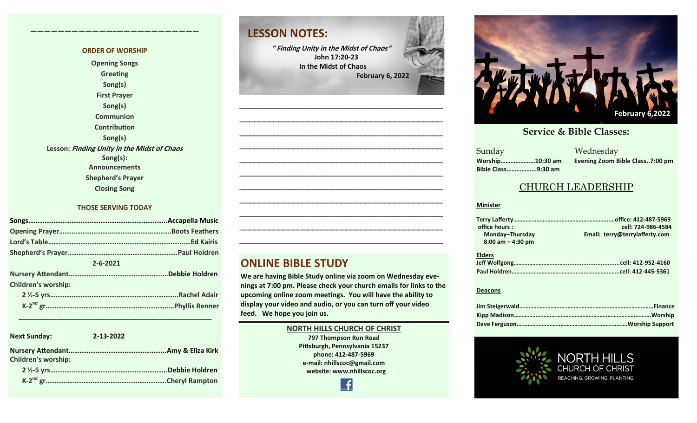#### **ORDER OF WORSHIP Opening Songs Greeting Song(s) First Prayer Song(s) Communion Contribution Song(s) Lesson: Finding Unity in the Midst of Chaos Song(s): Announcements Shepherd's Prayer Closing Song**

**————————————–————————————**

#### **THOSE SERVING TODAY**

| $2 - 6 - 2021$             |  |  |  |  |
|----------------------------|--|--|--|--|
|                            |  |  |  |  |
| <b>Children's worship:</b> |  |  |  |  |
|                            |  |  |  |  |
|                            |  |  |  |  |

| <b>Next Sunday:</b>        | 2-13-2022 |                 |
|----------------------------|-----------|-----------------|
| <b>Children's worship:</b> |           |                 |
|                            |           | .Debbie Holdren |
|                            |           |                 |

 **\_\_\_\_\_\_\_\_\_\_\_\_\_\_\_\_\_\_\_\_\_\_\_\_\_\_\_\_\_\_\_\_\_\_\_\_\_\_\_\_\_\_\_\_\_\_\_\_\_\_\_**

### **LESSON NOTES:**

**" Finding Unity in the Midst of Chaos" John 17:20-23 In the Midst of Chaos February 6, 2022**

**—————————————————————————————————————————— —————————————————————————————————————————— —————————————————————————————————————————— —————————————————————————————————————————— —————————————————————————————————————————— —————————————————————————————————————————— —————————————————————————————————————————— —————————————————————————————————————————— —————————————————————————————————————————— ——————————————————————————————————————————**

#### **ONLINE BIBLE STUDY**

**We are having Bible Study online via zoom on Wednesday evenings at 7:00 pm. Please check your church emails for links to the upcoming online zoom meetings. You will have the ability to display your video and audio, or you can turn off your video feed. We hope you join us.** 

**——————————————————————————————————————————**

#### **NORTH HILLS CHURCH OF CHRIST 797 Thompson Run Road Pittsburgh, Pennsylvania 15237 phone: 412-487-5969 e-mail: nhillscoc@gmail.com website: www.nhillscoc.org**



#### **September 24, 2017 October 8, 2017 October 15, 2017 October 8, 2017 October 22, 2017 December 10, 2017 December 24, 2017 January 7, 2017 January 7, 2017 February 21, 2021**

**Sunday Bible Class……………...9:30 am**

**October 29, 2017 November 5, 2017 November 12, 2017 November 26, 2017** a Mednesday<br>Sunday Mednesday **Worship…………………10:30 am Evening Zoom Bible Class..7:00 pm**

#### CHURCH LEADERSHIP

#### **Minister**

| office hours:        | cell: 724-986-4584             |
|----------------------|--------------------------------|
| Monday-Thursday      | Email: terry@terrylafferty.com |
| $8:00$ am $-4:30$ pm |                                |
| <b>Elders</b>        |                                |
|                      |                                |
|                      |                                |

#### **Deacons**